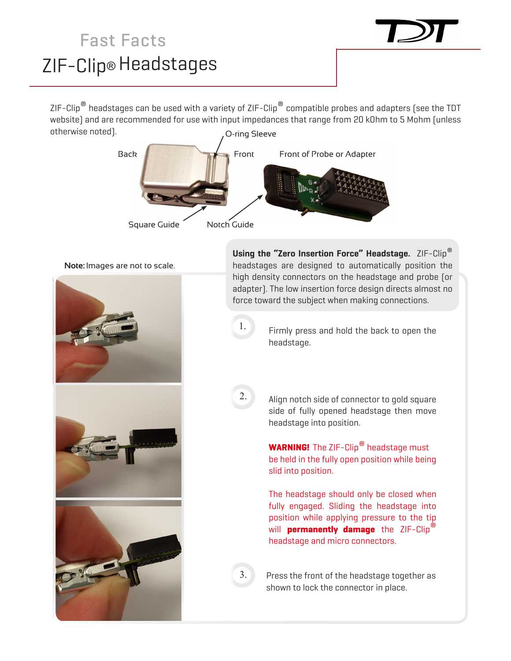## ZIF-Clip® Headstages Fast Facts

ZIF-Clip<sup>®</sup> headstages can be used with a variety of ZIF-Clip<sup>®</sup> compatible probes and adapters (see the TDT website) and are recommended for use with input impedances that range from 20 kOhm to 5 Mohm (unless otherwise noted). O-ring Sleeve